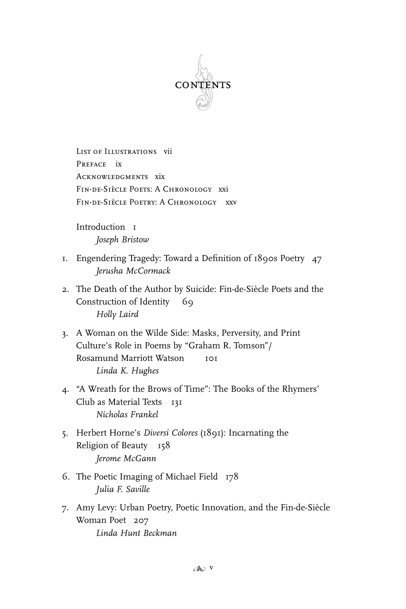

List of Illustrations vii Preface ix Acknowledgments xix FIN-DE-SIÈCLE POETS: A CHRONOLOGY XXI FIN-DE-SIÈCLE POETRY: A CHRONOLOGY XXV

Introduction 1 *Joseph Bristow*

- 1. Engendering Tragedy: Toward a Definition of 1890s Poetry 47 *Jerusha McCormack*
- 2. The Death of the Author by Suicide: Fin-de-Siècle Poets and the Construction of Identity 69 *Holly Laird*
- 3. A Woman on the Wilde Side: Masks, Perversity, and Print Culture's Role in Poems by "Graham R. Tomson"/ Rosamund Marriott Watson 101 *Linda K. Hughes*
- 4. "A Wreath for the Brows of Time": The Books of the Rhymers' Club as Material Texts 131 *Nicholas Frankel*
- 5. Herbert Horne's *Diversi Colores* (1891): Incarnating the Religion of Beauty 158 *Jerome McGann*
- 6. The Poetic Imaging of Michael Field 178 *Julia F. Saville*
- 7. Amy Levy: Urban Poetry, Poetic Innovation, and the Fin-de-Siècle Woman Poet 207 *Linda Hunt Beckman*

 $c \rightarrow v$